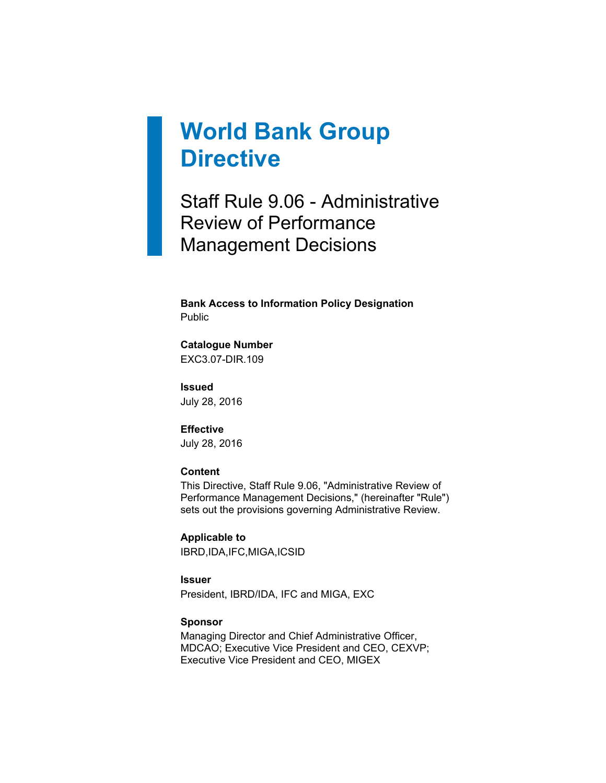# **World Bank Group Directive**

Staff Rule 9.06 - Administrative Review of Performance Management Decisions

**Bank Access to Information Policy Designation** Public

## **Catalogue Number**

EXC3.07-DIR.109

**Issued** July 28, 2016

#### **Effective**

July 28, 2016

#### **Content**

This Directive, Staff Rule 9.06, "Administrative Review of Performance Management Decisions," (hereinafter "Rule") sets out the provisions governing Administrative Review.

**Applicable to** IBRD,IDA,IFC,MIGA,ICSID

**Issuer**

President, IBRD/IDA, IFC and MIGA, EXC

#### **Sponsor**

Managing Director and Chief Administrative Officer, MDCAO; Executive Vice President and CEO, CEXVP; Executive Vice President and CEO, MIGEX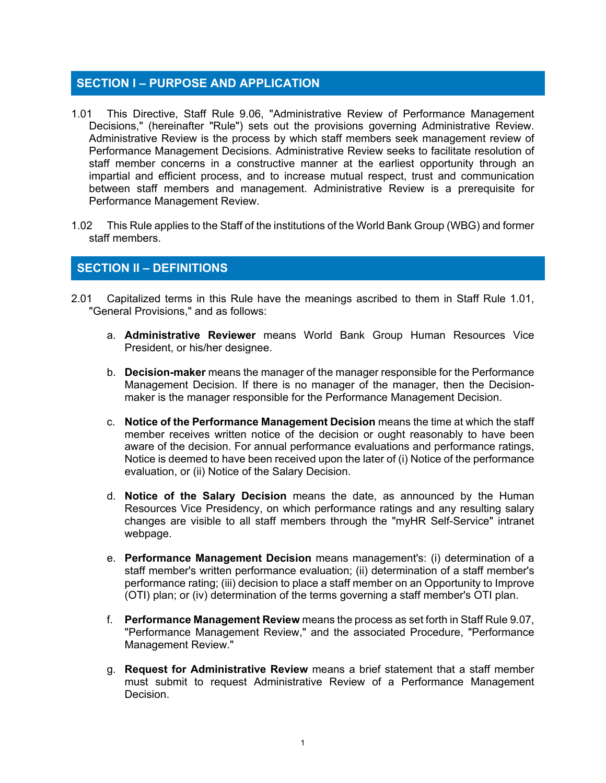## **SECTION I – PURPOSE AND APPLICATION**

- 1.01 This Directive, Staff Rule 9.06, "Administrative Review of Performance Management Decisions," (hereinafter "Rule") sets out the provisions governing Administrative Review. Administrative Review is the process by which staff members seek management review of Performance Management Decisions. Administrative Review seeks to facilitate resolution of staff member concerns in a constructive manner at the earliest opportunity through an impartial and efficient process, and to increase mutual respect, trust and communication between staff members and management. Administrative Review is a prerequisite for Performance Management Review.
- 1.02 This Rule applies to the Staff of the institutions of the World Bank Group (WBG) and former staff members.

## **SECTION II – DEFINITIONS**

- 2.01 Capitalized terms in this Rule have the meanings ascribed to them in Staff Rule 1.01, "General Provisions," and as follows:
	- a. **Administrative Reviewer** means World Bank Group Human Resources Vice President, or his/her designee.
	- b. **Decision-maker** means the manager of the manager responsible for the Performance Management Decision. If there is no manager of the manager, then the Decisionmaker is the manager responsible for the Performance Management Decision.
	- c. **Notice of the Performance Management Decision** means the time at which the staff member receives written notice of the decision or ought reasonably to have been aware of the decision. For annual performance evaluations and performance ratings, Notice is deemed to have been received upon the later of (i) Notice of the performance evaluation, or (ii) Notice of the Salary Decision.
	- d. **Notice of the Salary Decision** means the date, as announced by the Human Resources Vice Presidency, on which performance ratings and any resulting salary changes are visible to all staff members through the "myHR Self-Service" intranet webpage.
	- e. **Performance Management Decision** means management's: (i) determination of a staff member's written performance evaluation; (ii) determination of a staff member's performance rating; (iii) decision to place a staff member on an Opportunity to Improve (OTI) plan; or (iv) determination of the terms governing a staff member's OTI plan.
	- f. **Performance Management Review** means the process as set forth in Staff Rule 9.07, "Performance Management Review," and the associated Procedure, "Performance Management Review."
	- g. **Request for Administrative Review** means a brief statement that a staff member must submit to request Administrative Review of a Performance Management Decision.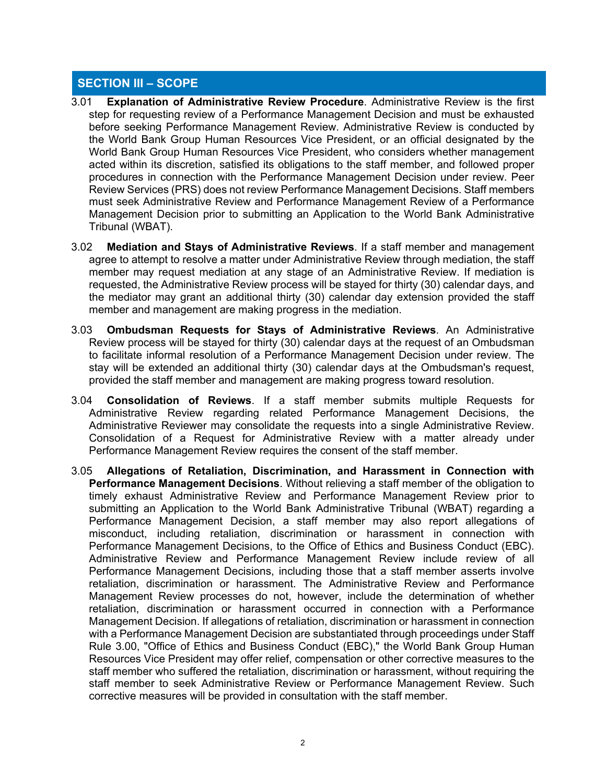## **SECTION III – SCOPE**

- 3.01 **Explanation of Administrative Review Procedure**. Administrative Review is the first step for requesting review of a Performance Management Decision and must be exhausted before seeking Performance Management Review. Administrative Review is conducted by the World Bank Group Human Resources Vice President, or an official designated by the World Bank Group Human Resources Vice President, who considers whether management acted within its discretion, satisfied its obligations to the staff member, and followed proper procedures in connection with the Performance Management Decision under review. Peer Review Services (PRS) does not review Performance Management Decisions. Staff members must seek Administrative Review and Performance Management Review of a Performance Management Decision prior to submitting an Application to the World Bank Administrative Tribunal (WBAT).
- 3.02 **Mediation and Stays of Administrative Reviews**. If a staff member and management agree to attempt to resolve a matter under Administrative Review through mediation, the staff member may request mediation at any stage of an Administrative Review. If mediation is requested, the Administrative Review process will be stayed for thirty (30) calendar days, and the mediator may grant an additional thirty (30) calendar day extension provided the staff member and management are making progress in the mediation.
- 3.03 **Ombudsman Requests for Stays of Administrative Reviews**. An Administrative Review process will be stayed for thirty (30) calendar days at the request of an Ombudsman to facilitate informal resolution of a Performance Management Decision under review. The stay will be extended an additional thirty (30) calendar days at the Ombudsman's request, provided the staff member and management are making progress toward resolution.
- 3.04 **Consolidation of Reviews**. If a staff member submits multiple Requests for Administrative Review regarding related Performance Management Decisions, the Administrative Reviewer may consolidate the requests into a single Administrative Review. Consolidation of a Request for Administrative Review with a matter already under Performance Management Review requires the consent of the staff member.
- 3.05 **Allegations of Retaliation, Discrimination, and Harassment in Connection with Performance Management Decisions**. Without relieving a staff member of the obligation to timely exhaust Administrative Review and Performance Management Review prior to submitting an Application to the World Bank Administrative Tribunal (WBAT) regarding a Performance Management Decision, a staff member may also report allegations of misconduct, including retaliation, discrimination or harassment in connection with Performance Management Decisions, to the Office of Ethics and Business Conduct (EBC). Administrative Review and Performance Management Review include review of all Performance Management Decisions, including those that a staff member asserts involve retaliation, discrimination or harassment. The Administrative Review and Performance Management Review processes do not, however, include the determination of whether retaliation, discrimination or harassment occurred in connection with a Performance Management Decision. If allegations of retaliation, discrimination or harassment in connection with a Performance Management Decision are substantiated through proceedings under Staff Rule 3.00, "Office of Ethics and Business Conduct (EBC)," the World Bank Group Human Resources Vice President may offer relief, compensation or other corrective measures to the staff member who suffered the retaliation, discrimination or harassment, without requiring the staff member to seek Administrative Review or Performance Management Review. Such corrective measures will be provided in consultation with the staff member.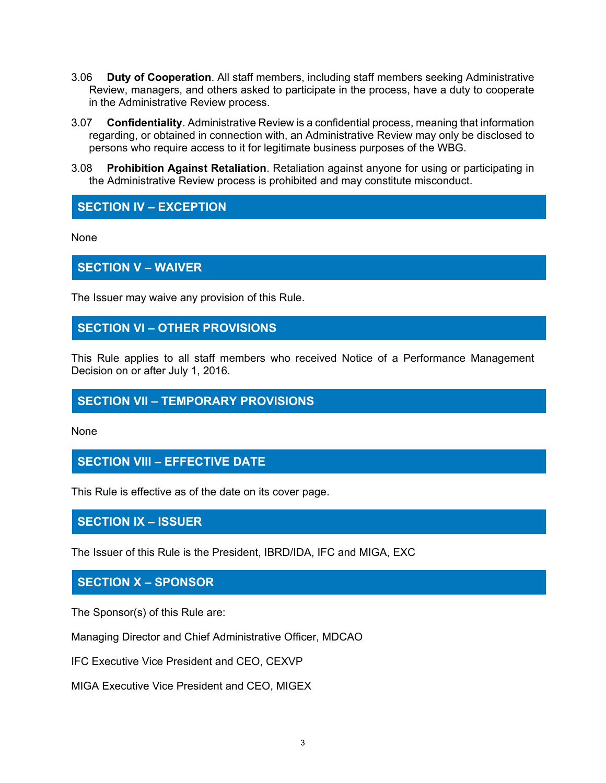- 3.06 **Duty of Cooperation**. All staff members, including staff members seeking Administrative Review, managers, and others asked to participate in the process, have a duty to cooperate in the Administrative Review process.
- 3.07 **Confidentiality**. Administrative Review is a confidential process, meaning that information regarding, or obtained in connection with, an Administrative Review may only be disclosed to persons who require access to it for legitimate business purposes of the WBG.
- 3.08 **Prohibition Against Retaliation**. Retaliation against anyone for using or participating in the Administrative Review process is prohibited and may constitute misconduct.

## **SECTION IV – EXCEPTION**

None

#### **SECTION V – WAIVER**

The Issuer may waive any provision of this Rule.

## **SECTION VI – OTHER PROVISIONS**

This Rule applies to all staff members who received Notice of a Performance Management Decision on or after July 1, 2016.

## **SECTION VII – TEMPORARY PROVISIONS**

None

#### **SECTION VIII – EFFECTIVE DATE**

This Rule is effective as of the date on its cover page.

#### **SECTION IX – ISSUER**

The Issuer of this Rule is the President, IBRD/IDA, IFC and MIGA, EXC

#### **SECTION X – SPONSOR**

The Sponsor(s) of this Rule are:

Managing Director and Chief Administrative Officer, MDCAO

IFC Executive Vice President and CEO, CEXVP

MIGA Executive Vice President and CEO, MIGEX